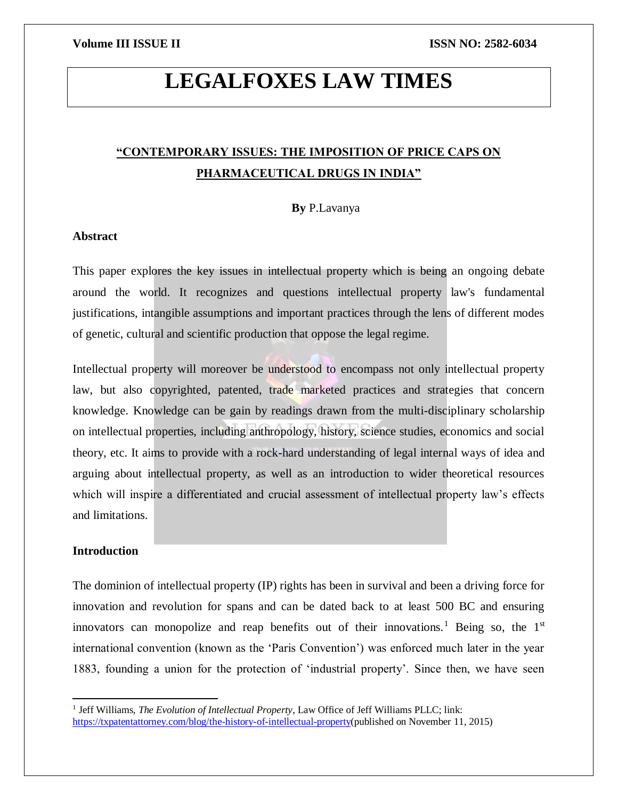# **LEGALFOXES LAW TIMES**

## **"CONTEMPORARY ISSUES: THE IMPOSITION OF PRICE CAPS ON PHARMACEUTICAL DRUGS IN INDIA"**

#### **By** P.Lavanya

### **Abstract**

This paper explores the key issues in intellectual property which is being an ongoing debate around the world. It recognizes and questions intellectual property law's fundamental justifications, intangible assumptions and important practices through the lens of different modes of genetic, cultural and scientific production that oppose the legal regime.

Intellectual property will moreover be understood to encompass not only intellectual property law, but also copyrighted, patented, trade marketed practices and strategies that concern knowledge. Knowledge can be gain by readings drawn from the multi-disciplinary scholarship on intellectual properties, including anthropology, history, science studies, economics and social theory, etc. It aims to provide with a rock-hard understanding of legal internal ways of idea and arguing about intellectual property, as well as an introduction to wider theoretical resources which will inspire a differentiated and crucial assessment of intellectual property law's effects and limitations.

### **Introduction**

 $\overline{\phantom{a}}$ 

The dominion of intellectual property (IP) rights has been in survival and been a driving force for innovation and revolution for spans and can be dated back to at least 500 BC and ensuring innovators can monopolize and reap benefits out of their innovations.<sup>1</sup> Being so, the  $1<sup>st</sup>$ international convention (known as the 'Paris Convention') was enforced much later in the year 1883, founding a union for the protection of 'industrial property'. Since then, we have seen

<sup>&</sup>lt;sup>1</sup> Jeff Williams, *The Evolution of Intellectual Property*, Law Office of Jeff Williams PLLC; link: [https://txpatentattorney.com/blog/the-history-of-intellectual-property\(](https://txpatentattorney.com/blog/the-history-of-intellectual-property)published on November 11, 2015)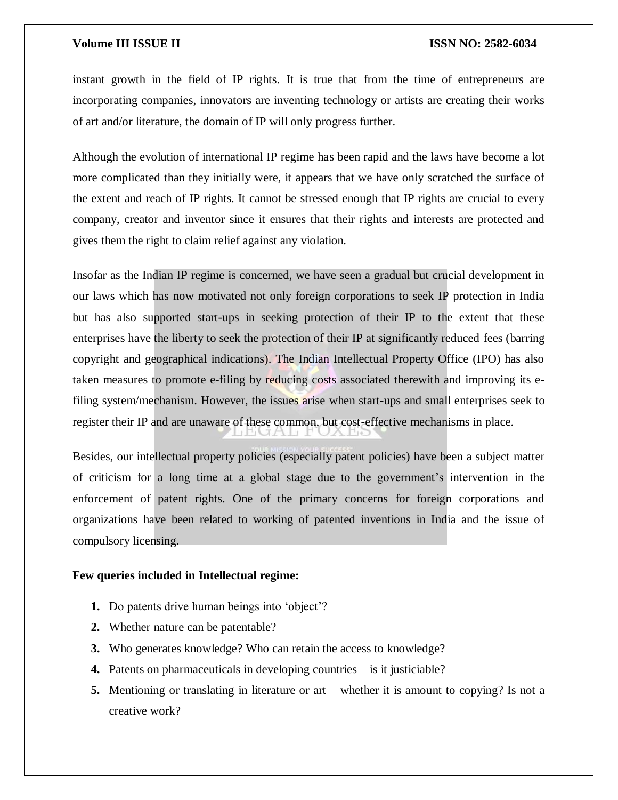instant growth in the field of IP rights. It is true that from the time of entrepreneurs are incorporating companies, innovators are inventing technology or artists are creating their works of art and/or literature, the domain of IP will only progress further.

Although the evolution of international IP regime has been rapid and the laws have become a lot more complicated than they initially were, it appears that we have only scratched the surface of the extent and reach of IP rights. It cannot be stressed enough that IP rights are crucial to every company, creator and inventor since it ensures that their rights and interests are protected and gives them the right to claim relief against any violation.

Insofar as the Indian IP regime is concerned, we have seen a gradual but crucial development in our laws which has now motivated not only foreign corporations to seek IP protection in India but has also supported start-ups in seeking protection of their IP to the extent that these enterprises have the liberty to seek the protection of their IP at significantly reduced fees (barring copyright and geographical indications). The Indian Intellectual Property Office (IPO) has also taken measures to promote e-filing by reducing costs associated therewith and improving its efiling system/mechanism. However, the issues arise when start-ups and small enterprises seek to register their IP and are unaware of these common, but cost-effective mechanisms in place.

Besides, our intellectual property policies (especially patent policies) have been a subject matter of criticism for a long time at a global stage due to the government's intervention in the enforcement of patent rights. One of the primary concerns for foreign corporations and organizations have been related to working of patented inventions in India and the issue of compulsory licensing.

#### **Few queries included in Intellectual regime:**

- **1.** Do patents drive human beings into 'object'?
- **2.** Whether nature can be patentable?
- **3.** Who generates knowledge? Who can retain the access to knowledge?
- **4.** Patents on pharmaceuticals in developing countries is it justiciable?
- **5.** Mentioning or translating in literature or art whether it is amount to copying? Is not a creative work?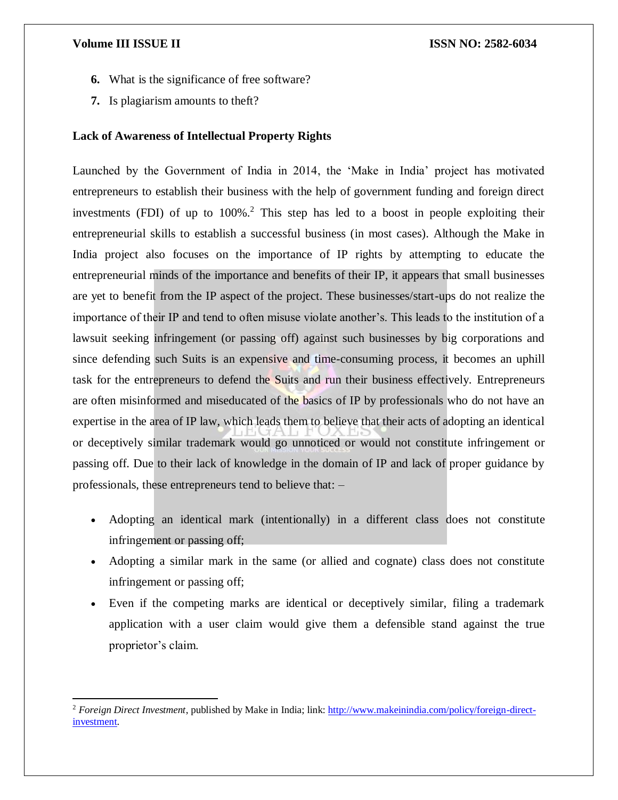$\overline{\phantom{a}}$ 

- **6.** What is the significance of free software?
- **7.** Is plagiarism amounts to theft?

### **Lack of Awareness of Intellectual Property Rights**

Launched by the Government of India in 2014, the 'Make in India' project has motivated entrepreneurs to establish their business with the help of government funding and foreign direct investments (FDI) of up to  $100\%$ <sup>2</sup>. This step has led to a boost in people exploiting their entrepreneurial skills to establish a successful business (in most cases). Although the Make in India project also focuses on the importance of IP rights by attempting to educate the entrepreneurial minds of the importance and benefits of their IP, it appears that small businesses are yet to benefit from the IP aspect of the project. These businesses/start-ups do not realize the importance of their IP and tend to often misuse violate another's. This leads to the institution of a lawsuit seeking infringement (or passing off) against such businesses by big corporations and since defending such Suits is an expensive and time-consuming process, it becomes an uphill task for the entrepreneurs to defend the Suits and run their business effectively. Entrepreneurs are often misinformed and miseducated of the basics of IP by professionals who do not have an expertise in the area of IP law, which leads them to believe that their acts of adopting an identical or deceptively similar trademark would go unnoticed or would not constitute infringement or passing off. Due to their lack of knowledge in the domain of IP and lack of proper guidance by professionals, these entrepreneurs tend to believe that: –

- Adopting an identical mark (intentionally) in a different class does not constitute infringement or passing off;
- Adopting a similar mark in the same (or allied and cognate) class does not constitute infringement or passing off;
- Even if the competing marks are identical or deceptively similar, filing a trademark application with a user claim would give them a defensible stand against the true proprietor's claim.

<sup>2</sup> *Foreign Direct Investment*, published by Make in India; link: [http://www.makeinindia.com/policy/foreign-direct](http://www.makeinindia.com/policy/foreign-direct-investment)[investment.](http://www.makeinindia.com/policy/foreign-direct-investment)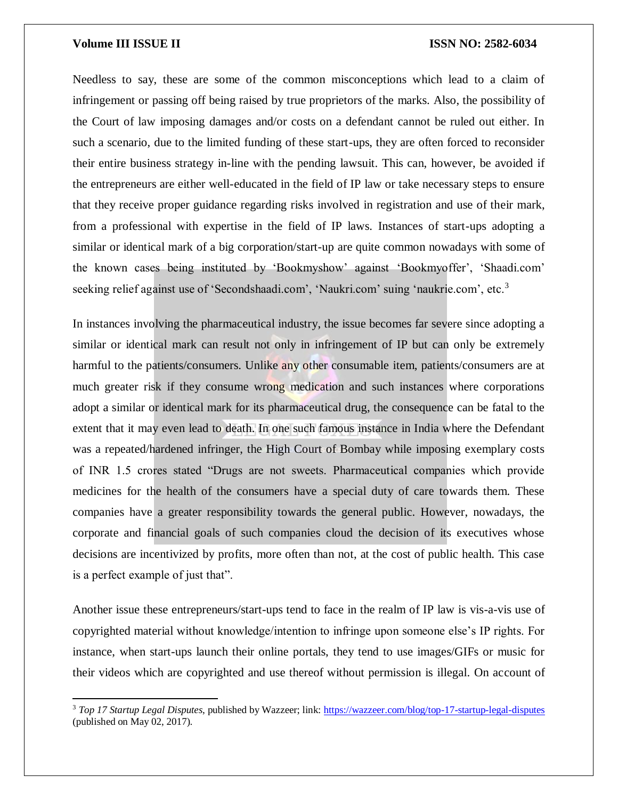$\overline{\phantom{a}}$ 

Needless to say, these are some of the common misconceptions which lead to a claim of infringement or passing off being raised by true proprietors of the marks. Also, the possibility of the Court of law imposing damages and/or costs on a defendant cannot be ruled out either. In such a scenario, due to the limited funding of these start-ups, they are often forced to reconsider their entire business strategy in-line with the pending lawsuit. This can, however, be avoided if the entrepreneurs are either well-educated in the field of IP law or take necessary steps to ensure that they receive proper guidance regarding risks involved in registration and use of their mark, from a professional with expertise in the field of IP laws. Instances of start-ups adopting a similar or identical mark of a big corporation/start-up are quite common nowadays with some of the known cases being instituted by 'Bookmyshow' against 'Bookmyoffer', 'Shaadi.com' seeking relief against use of 'Secondshaadi.com', 'Naukri.com' suing 'naukrie.com', etc.<sup>3</sup>

In instances involving the pharmaceutical industry, the issue becomes far severe since adopting a similar or identical mark can result not only in infringement of IP but can only be extremely harmful to the patients/consumers. Unlike any other consumable item, patients/consumers are at much greater risk if they consume wrong medication and such instances where corporations adopt a similar or identical mark for its pharmaceutical drug, the consequence can be fatal to the extent that it may even lead to death. In one such famous instance in India where the Defendant was a repeated/hardened infringer, the High Court of Bombay while imposing exemplary costs of INR 1.5 crores stated "Drugs are not sweets. Pharmaceutical companies which provide medicines for the health of the consumers have a special duty of care towards them. These companies have a greater responsibility towards the general public. However, nowadays, the corporate and financial goals of such companies cloud the decision of its executives whose decisions are incentivized by profits, more often than not, at the cost of public health. This case is a perfect example of just that".

Another issue these entrepreneurs/start-ups tend to face in the realm of IP law is vis-a-vis use of copyrighted material without knowledge/intention to infringe upon someone else's IP rights. For instance, when start-ups launch their online portals, they tend to use images/GIFs or music for their videos which are copyrighted and use thereof without permission is illegal. On account of

<sup>3</sup> *Top 17 Startup Legal Disputes*, published by Wazzeer; link[: https://wazzeer.com/blog/top-17-startup-legal-disputes](https://wazzeer.com/blog/top-17-startup-legal-disputes) (published on May 02, 2017).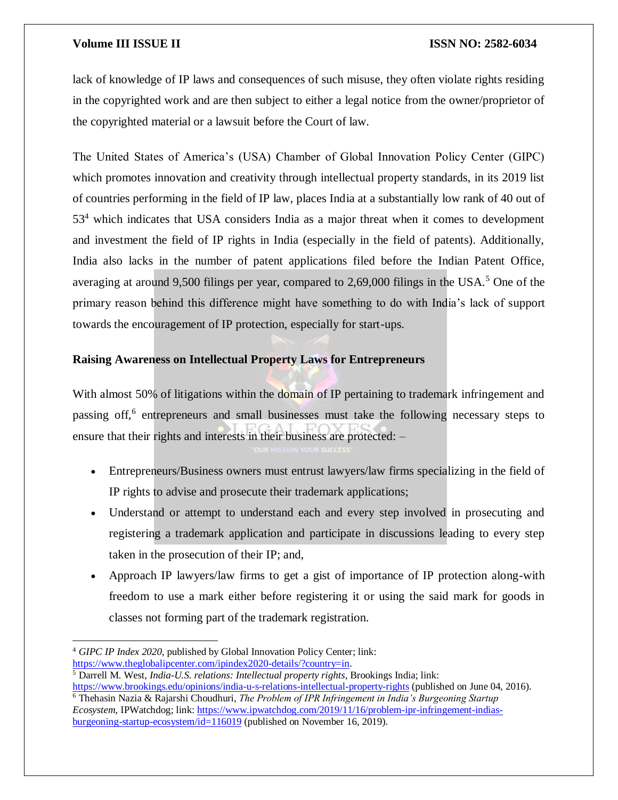lack of knowledge of IP laws and consequences of such misuse, they often violate rights residing in the copyrighted work and are then subject to either a legal notice from the owner/proprietor of the copyrighted material or a lawsuit before the Court of law.

The United States of America's (USA) Chamber of Global Innovation Policy Center (GIPC) which promotes innovation and creativity through intellectual property standards, in its 2019 list of countries performing in the field of IP law, places India at a substantially low rank of 40 out of  $53<sup>4</sup>$  which indicates that USA considers India as a major threat when it comes to development and investment the field of IP rights in India (especially in the field of patents). Additionally, India also lacks in the number of patent applications filed before the Indian Patent Office, averaging at around 9,500 filings per year, compared to 2,69,000 filings in the USA.<sup>5</sup> One of the primary reason behind this difference might have something to do with India's lack of support towards the encouragement of IP protection, especially for start-ups.

### **Raising Awareness on Intellectual Property Laws for Entrepreneurs**

With almost 50% of litigations within the domain of IP pertaining to trademark infringement and passing off,<sup>6</sup> entrepreneurs and small businesses must take the following necessary steps to ensure that their rights and interests in their business are protected: –

- Entrepreneurs/Business owners must entrust lawyers/law firms specializing in the field of IP rights to advise and prosecute their trademark applications;
- Understand or attempt to understand each and every step involved in prosecuting and registering a trademark application and participate in discussions leading to every step taken in the prosecution of their IP; and,
- Approach IP lawyers/law firms to get a gist of importance of IP protection along-with freedom to use a mark either before registering it or using the said mark for goods in classes not forming part of the trademark registration.

 $\overline{\phantom{a}}$ <sup>4</sup> *GIPC IP Index 2020*, published by Global Innovation Policy Center; link: [https://www.theglobalipcenter.com/ipindex2020-details/?country=in.](https://www.theglobalipcenter.com/ipindex2020-details/?country=in)

<sup>5</sup> Darrell M. West, *India-U.S. relations: Intellectual property rights*, Brookings India; link: <https://www.brookings.edu/opinions/india-u-s-relations-intellectual-property-rights> (published on June 04, 2016). <sup>6</sup> Thehasin Nazia & Rajarshi Choudhuri, *The Problem of IPR Infringement in India's Burgeoning Startup Ecosystem*, IPWatchdog; link: [https://www.ipwatchdog.com/2019/11/16/problem-ipr-infringement-indias](https://www.ipwatchdog.com/2019/11/16/problem-ipr-infringement-indias-burgeoning-startup-ecosystem/id=116019)[burgeoning-startup-ecosystem/id=116019](https://www.ipwatchdog.com/2019/11/16/problem-ipr-infringement-indias-burgeoning-startup-ecosystem/id=116019) (published on November 16, 2019).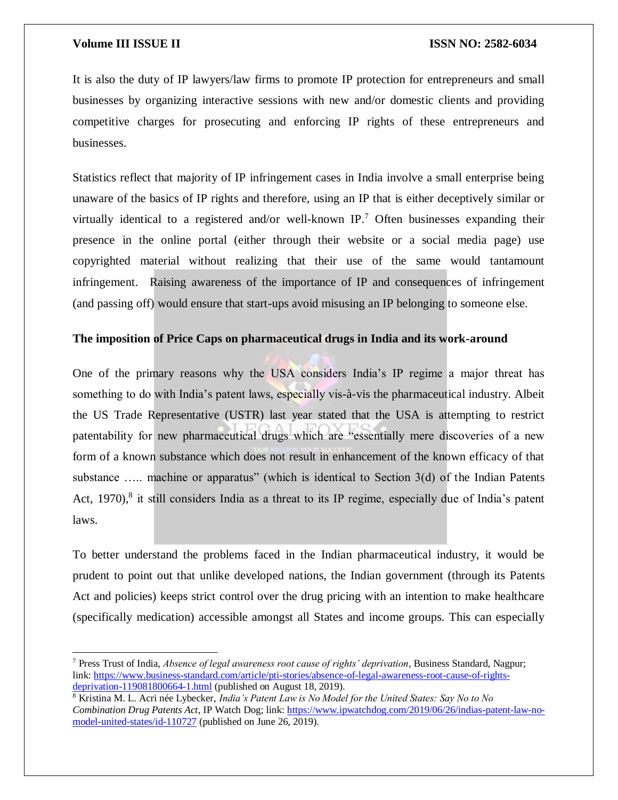$\overline{a}$ 

It is also the duty of IP lawyers/law firms to promote IP protection for entrepreneurs and small businesses by organizing interactive sessions with new and/or domestic clients and providing competitive charges for prosecuting and enforcing IP rights of these entrepreneurs and businesses.

Statistics reflect that majority of IP infringement cases in India involve a small enterprise being unaware of the basics of IP rights and therefore, using an IP that is either deceptively similar or virtually identical to a registered and/or well-known IP.<sup>7</sup> Often businesses expanding their presence in the online portal (either through their website or a social media page) use copyrighted material without realizing that their use of the same would tantamount infringement. Raising awareness of the importance of IP and consequences of infringement (and passing off) would ensure that start-ups avoid misusing an IP belonging to someone else.

#### **The imposition of Price Caps on pharmaceutical drugs in India and its work-around**

One of the primary reasons why the USA considers India's IP regime a major threat has something to do with India's patent laws, especially vis-à-vis the pharmaceutical industry. Albeit the US Trade Representative (USTR) last year stated that the USA is attempting to restrict patentability for new pharmaceutical drugs which are "essentially mere discoveries of a new form of a known substance which does not result in enhancement of the known efficacy of that substance ..... machine or apparatus" (which is identical to Section 3(d) of the Indian Patents Act, 1970),<sup>8</sup> it still considers India as a threat to its IP regime, especially due of India's patent laws.

To better understand the problems faced in the Indian pharmaceutical industry, it would be prudent to point out that unlike developed nations, the Indian government (through its Patents Act and policies) keeps strict control over the drug pricing with an intention to make healthcare (specifically medication) accessible amongst all States and income groups. This can especially

<sup>7</sup> Press Trust of India, *Absence of legal awareness root cause of rights' deprivation*, Business Standard, Nagpur; link: [https://www.business-standard.com/article/pti-stories/absence-of-legal-awareness-root-cause-of-rights](https://www.business-standard.com/article/pti-stories/absence-of-legal-awareness-root-cause-of-rights-deprivation-119081800664-1.html)[deprivation-119081800664-1.html](https://www.business-standard.com/article/pti-stories/absence-of-legal-awareness-root-cause-of-rights-deprivation-119081800664-1.html) (published on August 18, 2019).

<sup>8</sup> Kristina M. L. Acri née Lybecker, *India's Patent Law is No Model for the United States: Say No to No Combination Drug Patents Act*, IP Watch Dog; link[: https://www.ipwatchdog.com/2019/06/26/indias-patent-law-no](https://www.ipwatchdog.com/2019/06/26/indias-patent-law-no-model-united-states/id-110727)[model-united-states/id-110727](https://www.ipwatchdog.com/2019/06/26/indias-patent-law-no-model-united-states/id-110727) (published on June 26, 2019).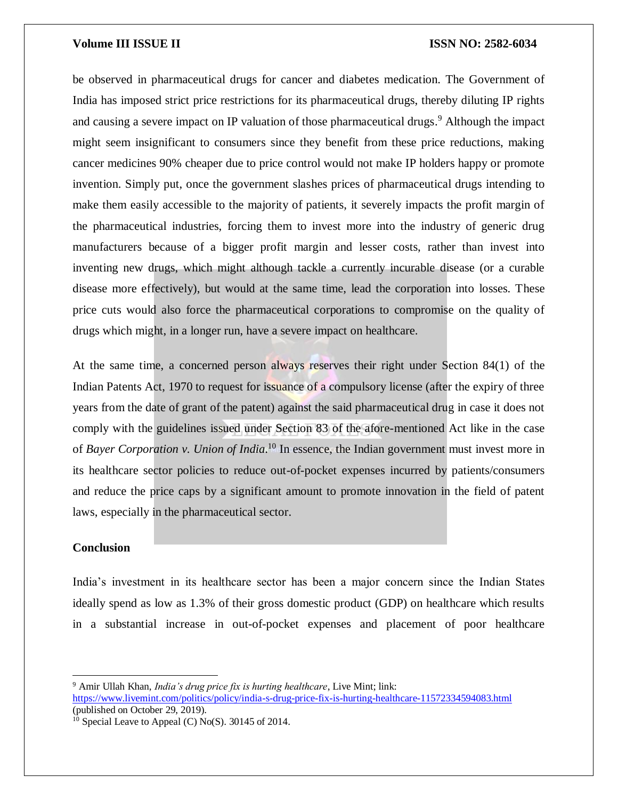be observed in pharmaceutical drugs for cancer and diabetes medication. The Government of India has imposed strict price restrictions for its pharmaceutical drugs, thereby diluting IP rights and causing a severe impact on IP valuation of those pharmaceutical drugs. <sup>9</sup> Although the impact might seem insignificant to consumers since they benefit from these price reductions, making cancer medicines 90% cheaper due to price control would not make IP holders happy or promote invention. Simply put, once the government slashes prices of pharmaceutical drugs intending to make them easily accessible to the majority of patients, it severely impacts the profit margin of the pharmaceutical industries, forcing them to invest more into the industry of generic drug manufacturers because of a bigger profit margin and lesser costs, rather than invest into inventing new drugs, which might although tackle a currently incurable disease (or a curable disease more effectively), but would at the same time, lead the corporation into losses. These price cuts would also force the pharmaceutical corporations to compromise on the quality of drugs which might, in a longer run, have a severe impact on healthcare.

At the same time, a concerned person always reserves their right under Section 84(1) of the Indian Patents Act, 1970 to request for issuance of a compulsory license (after the expiry of three years from the date of grant of the patent) against the said pharmaceutical drug in case it does not comply with the guidelines issued under Section 83 of the afore-mentioned Act like in the case of *Bayer Corporation v. Union of India*.<sup>10</sup> In essence, the Indian government must invest more in its healthcare sector policies to reduce out-of-pocket expenses incurred by patients/consumers and reduce the price caps by a significant amount to promote innovation in the field of patent laws, especially in the pharmaceutical sector.

#### **Conclusion**

 $\overline{a}$ 

India's investment in its healthcare sector has been a major concern since the Indian States ideally spend as low as 1.3% of their gross domestic product (GDP) on healthcare which results in a substantial increase in out-of-pocket expenses and placement of poor healthcare

<sup>9</sup> Amir Ullah Khan, *India's drug price fix is hurting healthcare*, Live Mint; link: <https://www.livemint.com/politics/policy/india-s-drug-price-fix-is-hurting-healthcare-11572334594083.html> (published on October 29, 2019).

 $10$  Special Leave to Appeal (C) No(S). 30145 of 2014.